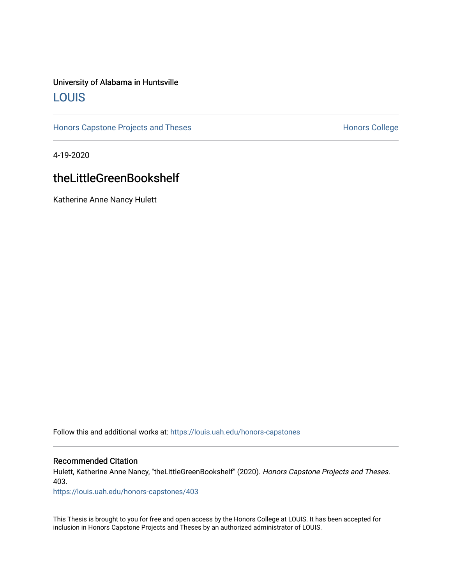### University of Alabama in Huntsville [LOUIS](https://louis.uah.edu/)

[Honors Capstone Projects and Theses](https://louis.uah.edu/honors-capstones) **Honors College** Honors College

4-19-2020

### theLittleGreenBookshelf

Katherine Anne Nancy Hulett

Follow this and additional works at: [https://louis.uah.edu/honors-capstones](https://louis.uah.edu/honors-capstones?utm_source=louis.uah.edu%2Fhonors-capstones%2F403&utm_medium=PDF&utm_campaign=PDFCoverPages) 

#### Recommended Citation

Hulett, Katherine Anne Nancy, "theLittleGreenBookshelf" (2020). Honors Capstone Projects and Theses. 403.

[https://louis.uah.edu/honors-capstones/403](https://louis.uah.edu/honors-capstones/403?utm_source=louis.uah.edu%2Fhonors-capstones%2F403&utm_medium=PDF&utm_campaign=PDFCoverPages) 

This Thesis is brought to you for free and open access by the Honors College at LOUIS. It has been accepted for inclusion in Honors Capstone Projects and Theses by an authorized administrator of LOUIS.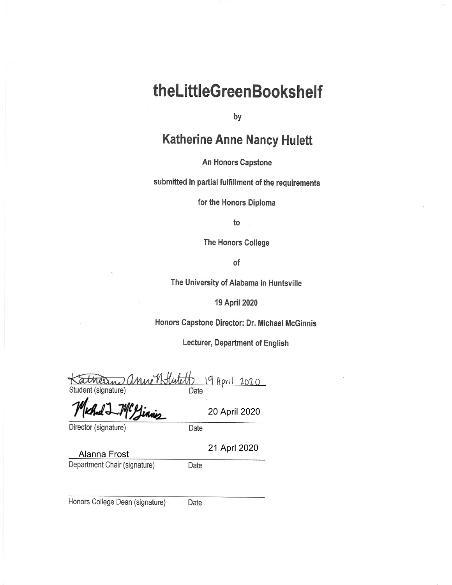# theLittleGreenBookshelf

by

## **Katherine Anne Nancy Hulett**

An Honors Capstone

submitted in partial fulfillment of the requirements

for the Honors Diploma

to

The Honors College

of

The University of Alabama in Huntsville

19 April 2020

Honors Capstone Director: Dr. Michael McGinnis

Lecturer, Department of English

atherine anne Hutil 19 April 2020 Student (signature) Date

Director (signature)

Date

21 Aprl 2020

20 April 2020

**Alanna Frost** Department Chair (signature)

Date

Honors College Dean (signature)

Date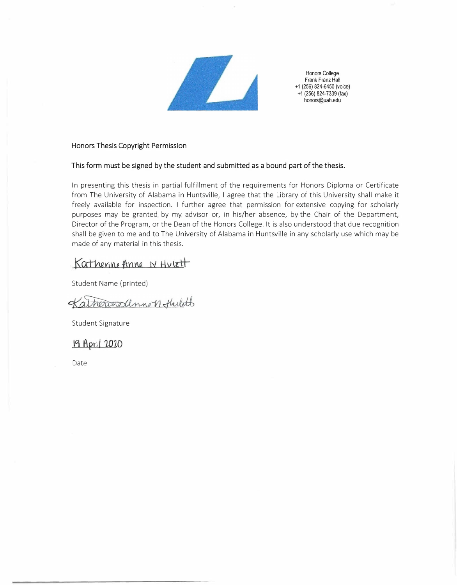

Honors College Frank Franz Hall **+1** (256) 824-6450 (voice) **+1** (256) 824-7339 (fax) honors@uah.edu

**Honors Thesis Copyright Permission** 

#### **This form must be signed by the student and submitted as a bound part of the thesis.**

In presenting this thesis in partial fulfillment of the requirements for Honors Diploma or Certificate from The University of Alabama in Huntsville, I agree that the Library of this University shall make it freely available for inspection. I further agree that permission for extensive copying for scholarly purposes may be granted by my advisor or, in his/her absence, by the Chair of the Department, Director of the Program, or the Dean of the Honors College. It is also understood that due recognition shall be given to me and to The University of Alabama in Huntsville in any scholarly use which may be made of any material in this thesis.

Katherine Anne N Hutett

Student Name (printed)

Katherine annon Hulets

Student Signature

19 April 2020

Date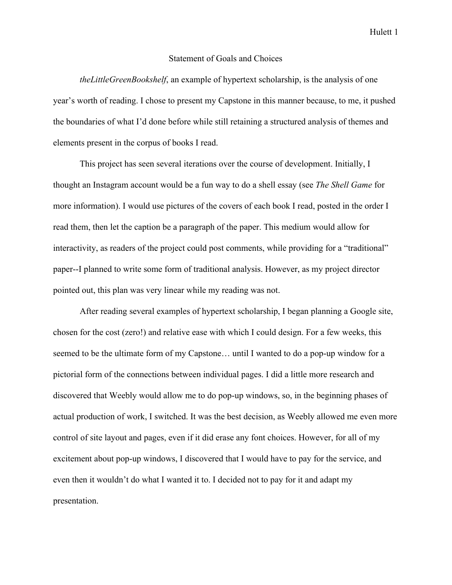#### Statement of Goals and Choices

*theLittleGreenBookshelf*, an example of hypertext scholarship, is the analysis of one year's worth of reading. I chose to present my Capstone in this manner because, to me, it pushed the boundaries of what I'd done before while still retaining a structured analysis of themes and elements present in the corpus of books I read.

This project has seen several iterations over the course of development. Initially, I thought an Instagram account would be a fun way to do a shell essay (see *The Shell Game* for more information). I would use pictures of the covers of each book I read, posted in the order I read them, then let the caption be a paragraph of the paper. This medium would allow for interactivity, as readers of the project could post comments, while providing for a "traditional" paper--I planned to write some form of traditional analysis. However, as my project director pointed out, this plan was very linear while my reading was not.

After reading several examples of hypertext scholarship, I began planning a Google site, chosen for the cost (zero!) and relative ease with which I could design. For a few weeks, this seemed to be the ultimate form of my Capstone… until I wanted to do a pop-up window for a pictorial form of the connections between individual pages. I did a little more research and discovered that Weebly would allow me to do pop-up windows, so, in the beginning phases of actual production of work, I switched. It was the best decision, as Weebly allowed me even more control of site layout and pages, even if it did erase any font choices. However, for all of my excitement about pop-up windows, I discovered that I would have to pay for the service, and even then it wouldn't do what I wanted it to. I decided not to pay for it and adapt my presentation.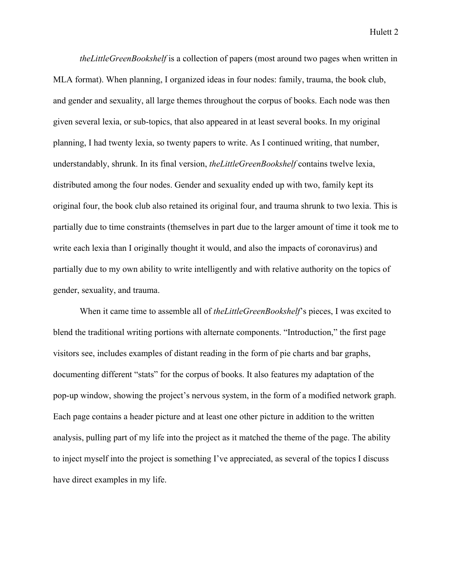Hulett 2

*theLittleGreenBookshelf* is a collection of papers (most around two pages when written in MLA format). When planning, I organized ideas in four nodes: family, trauma, the book club, and gender and sexuality, all large themes throughout the corpus of books. Each node was then given several lexia, or sub-topics, that also appeared in at least several books. In my original planning, I had twenty lexia, so twenty papers to write. As I continued writing, that number, understandably, shrunk. In its final version, *theLittleGreenBookshelf* contains twelve lexia, distributed among the four nodes. Gender and sexuality ended up with two, family kept its original four, the book club also retained its original four, and trauma shrunk to two lexia. This is partially due to time constraints (themselves in part due to the larger amount of time it took me to write each lexia than I originally thought it would, and also the impacts of coronavirus) and partially due to my own ability to write intelligently and with relative authority on the topics of gender, sexuality, and trauma.

When it came time to assemble all of *theLittleGreenBookshelf*'s pieces, I was excited to blend the traditional writing portions with alternate components. "Introduction," the first page visitors see, includes examples of distant reading in the form of pie charts and bar graphs, documenting different "stats" for the corpus of books. It also features my adaptation of the pop-up window, showing the project's nervous system, in the form of a modified network graph. Each page contains a header picture and at least one other picture in addition to the written analysis, pulling part of my life into the project as it matched the theme of the page. The ability to inject myself into the project is something I've appreciated, as several of the topics I discuss have direct examples in my life.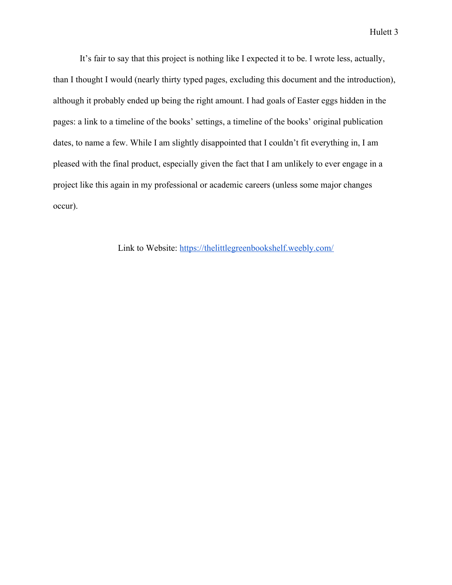Hulett 3

It's fair to say that this project is nothing like I expected it to be. I wrote less, actually, than I thought I would (nearly thirty typed pages, excluding this document and the introduction), although it probably ended up being the right amount. I had goals of Easter eggs hidden in the pages: a link to a timeline of the books' settings, a timeline of the books' original publication dates, to name a few. While I am slightly disappointed that I couldn't fit everything in, I am pleased with the final product, especially given the fact that I am unlikely to ever engage in a project like this again in my professional or academic careers (unless some major changes occur).

Link to Website: https://thelittlegreenbookshelf.weebly.com/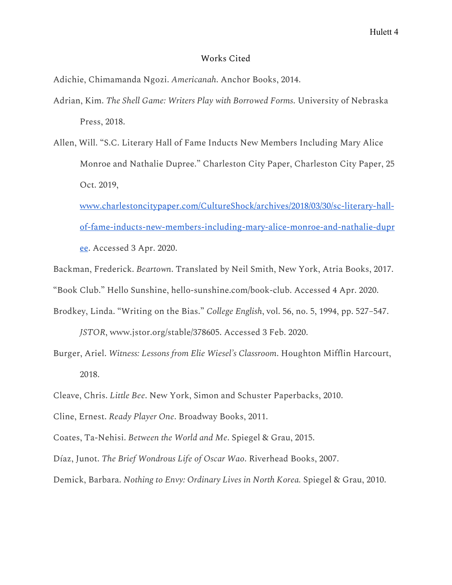### Works Cited

Adichie, Chimamanda Ngozi. *Americanah*. Anchor Books, 2014.

- Adrian, Kim. *The Shell Game: Writers Play with Borrowed Forms*. University of Nebraska Press, 2018.
- Allen, Will. "S.C. Literary Hall of Fame Inducts New Members Including Mary Alice Monroe and Nathalie Dupree." Charleston City Paper, Charleston City Paper, 25 Oct. 2019,

www.charlestoncitypaper.com/CultureShock/archives/2018/03/30/sc-literary-hallof-fame-inducts-new-members-including-mary-alice-monroe-and-nathalie-dupr ee. Accessed 3 Apr. 2020.

Backman, Frederick. *Beartown*. Translated by Neil Smith, New York, Atria Books, 2017. "Book Club." Hello Sunshine, hello-sunshine.com/book-club. Accessed 4 Apr. 2020.

Brodkey, Linda. "Writing on the Bias." *College English*, vol. 56, no. 5, 1994, pp. 527–547.

*JSTOR*, www.jstor.org/stable/378605. Accessed 3 Feb. 2020.

Burger, Ariel. *Witness: Lessons from Elie Wiesel's Classroom*. Houghton Mifflin Harcourt, 2018.

- Cline, Ernest. *Ready Player One*. Broadway Books, 2011.
- Coates, Ta-Nehisi. *Between the World and Me*. Spiegel & Grau, 2015.

Díaz, Junot. *The Brief Wondrous Life of Oscar Wao*. Riverhead Books, 2007.

Demick, Barbara. *Nothing to Envy: Ordinary Lives in North Korea.* Spiegel & Grau, 2010.

Cleave, Chris. *Little Bee*. New York, Simon and Schuster Paperbacks, 2010.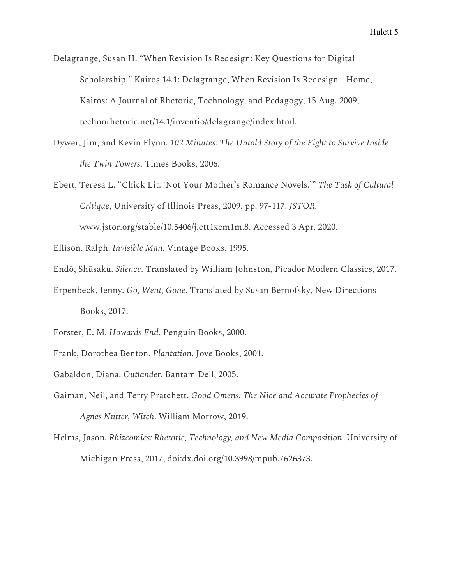Delagrange, Susan H. "When Revision Is Redesign: Key Questions for Digital Scholarship." Kairos 14.1: Delagrange, When Revision Is Redesign - Home, Kairos: A Journal of Rhetoric, Technology, and Pedagogy, 15 Aug. 2009, technorhetoric.net/14.1/inventio/delagrange/index.html.

Dywer, Jim, and Kevin Flynn. *102 Minutes: The Untold Story of the Fight to Survive Inside the Twin Towers*. Times Books, 2006.

Ebert, Teresa L. "Chick Lit: 'Not Your Mother's Romance Novels.'" *The Task of Cultural Critique*, University of Illinois Press, 2009, pp. 97-117. *JSTOR,*

www.jstor.org/stable/10.5406/j.ctt1xcm1m.8. Accessed 3 Apr. 2020.

Ellison, Ralph. *Invisible Man*. Vintage Books, 1995.

- Endō, Shūsaku. *Silence*. Translated by William Johnston, Picador Modern Classics, 2017.
- Erpenbeck, Jenny. *Go, Went, Gone*. Translated by Susan Bernofsky, New Directions Books, 2017.
- Forster, E. M. *Howards End*. Penguin Books, 2000.
- Frank, Dorothea Benton. *Plantation*. Jove Books, 2001.
- Gabaldon, Diana. *Outlander*. Bantam Dell, 2005.
- Gaiman, Neil, and Terry Pratchett. *Good Omens: The Nice and Accurate Prophecies of Agnes Nutter, Witch*. William Morrow, 2019.
- Helms, Jason. *Rhizcomics: Rhetoric, Technology, and New Media Composition.* University of Michigan Press, 2017, doi:dx.doi.org/10.3998/mpub.7626373.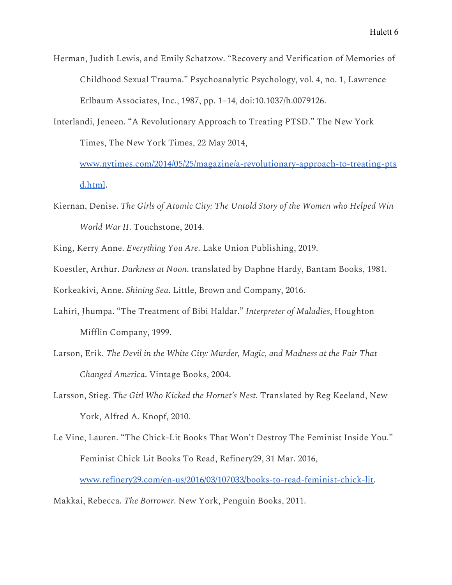Herman, Judith Lewis, and Emily Schatzow. "Recovery and Verification of Memories of Childhood Sexual Trauma." Psychoanalytic Psychology, vol. 4, no. 1, Lawrence Erlbaum Associates, Inc., 1987, pp. 1–14, doi:10.1037/h.0079126.

Interlandi, Jeneen. "A Revolutionary Approach to Treating PTSD." The New York Times, The New York Times, 22 May 2014,

www.nytimes.com/2014/05/25/magazine/a-revolutionary-approach-to-treating-pts d.html.

Kiernan, Denise. *The Girls of Atomic City: The Untold Story of the Women who Helped Win World War II*. Touchstone, 2014.

King, Kerry Anne. *Everything You Are*. Lake Union Publishing, 2019.

Koestler, Arthur. *Darkness at Noon*. translated by Daphne Hardy, Bantam Books, 1981.

Korkeakivi, Anne. *Shining Sea*. Little, Brown and Company, 2016.

- Lahiri, Jhumpa. "The Treatment of Bibi Haldar." *Interpreter of Maladies*, Houghton Mifflin Company, 1999.
- Larson, Erik. *The Devil in the White City: Murder, Magic, and Madness at the Fair That Changed America*. Vintage Books, 2004.
- Larsson, Stieg. *The Girl Who Kicked the Hornet's Nest*. Translated by Reg Keeland, New York, Alfred A. Knopf, 2010.
- Le Vine, Lauren. "The Chick-Lit Books That Won't Destroy The Feminist Inside You." Feminist Chick Lit Books To Read, Refinery29, 31 Mar. 2016,

www.refinery29.com/en-us/2016/03/107033/books-to-read-feminist-chick-lit.

Makkai, Rebecca. *The Borrower*. New York, Penguin Books, 2011.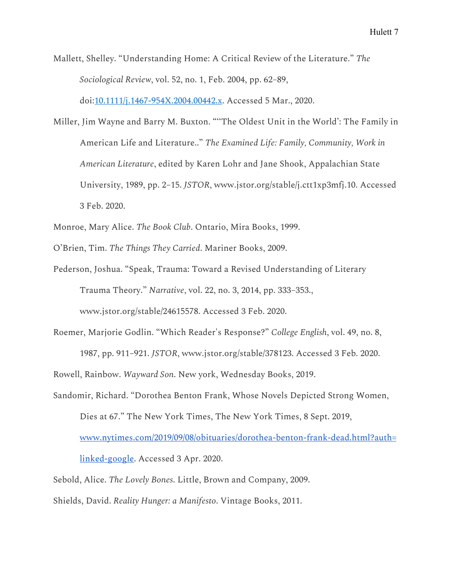Mallett, Shelley. "Understanding Home: A Critical Review of the Literature." *The Sociological Review*, vol. 52, no. 1, Feb. 2004, pp. 62–89,

doi:10.1111/j.1467-954X.2004.00442.x. Accessed 5 Mar., 2020.

- Miller, Jim Wayne and Barry M. Buxton. "''The Oldest Unit in the World': The Family in American Life and Literature.." *The Examined Life: Family, Community, Work in American Literature*, edited by Karen Lohr and Jane Shook, Appalachian State University, 1989, pp. 2–15. *JSTOR*, www.jstor.org/stable/j.ctt1xp3mfj.10. Accessed 3 Feb. 2020.
- Monroe, Mary Alice. *The Book Club*. Ontario, Mira Books, 1999.
- O'Brien, Tim. *The Things They Carried*. Mariner Books, 2009.
- Pederson, Joshua. "Speak, Trauma: Toward a Revised Understanding of Literary Trauma Theory." *Narrative*, vol. 22, no. 3, 2014, pp. 333–353.,

www.jstor.org/stable/24615578. Accessed 3 Feb. 2020.

Roemer, Marjorie Godlin. "Which Reader's Response?" *College English*, vol. 49, no. 8,

1987, pp. 911–921. *JSTOR*, www.jstor.org/stable/378123. Accessed 3 Feb. 2020.

Rowell, Rainbow. *Wayward Son*. New york, Wednesday Books, 2019.

Sandomir, Richard. "Dorothea Benton Frank, Whose Novels Depicted Strong Women, Dies at 67." The New York Times, The New York Times, 8 Sept. 2019,

www.nytimes.com/2019/09/08/obituaries/dorothea-benton-frank-dead.html?auth=

linked-google. Accessed 3 Apr. 2020.

Sebold, Alice. *The Lovely Bones*. Little, Brown and Company, 2009.

Shields, David. *Reality Hunger: a Manifesto*. Vintage Books, 2011.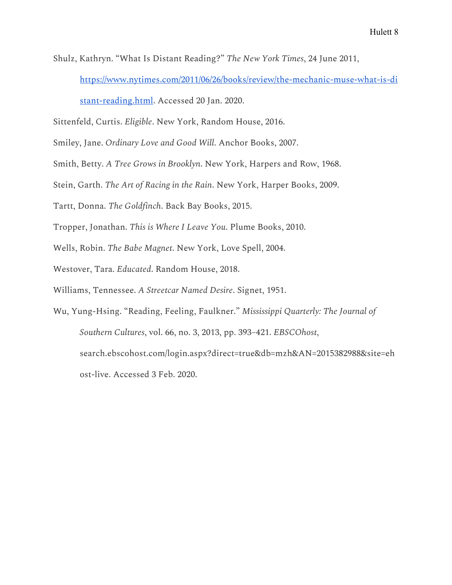Shulz, Kathryn. "What Is Distant Reading?" *The New York Times*, 24 June 2011, https://www.nytimes.com/2011/06/26/books/review/the-mechanic-muse-what-is-di

stant-reading.html. Accessed 20 Jan. 2020.

Sittenfeld, Curtis. *Eligible*. New York, Random House, 2016.

Smiley, Jane. *Ordinary Love and Good Will*. Anchor Books, 2007.

Smith, Betty. *A Tree Grows in Brooklyn*. New York, Harpers and Row, 1968.

Stein, Garth. *The Art of Racing in the Rain*. New York, Harper Books, 2009.

Tartt, Donna. *The Goldfinch*. Back Bay Books, 2015.

Tropper, Jonathan. *This is Where I Leave You*. Plume Books, 2010.

Wells, Robin. *The Babe Magnet*. New York, Love Spell, 2004.

Westover, Tara. *Educated*. Random House, 2018.

Williams, Tennessee. *A Streetcar Named Desire*. Signet, 1951.

Wu, Yung-Hsing. "Reading, Feeling, Faulkner." *Mississippi Quarterly: The Journal of Southern Cultures*, vol. 66, no. 3, 2013, pp. 393–421. *EBSCOhost*, search.ebscohost.com/login.aspx?direct=true&db=mzh&AN=2015382988&site=eh ost-live. Accessed 3 Feb. 2020.